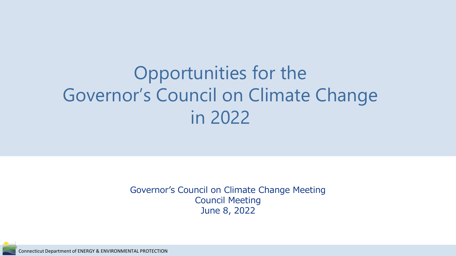# Opportunities for the Governor's Council on Climate Change in 2022

Governor's Council on Climate Change Meeting Council Meeting June 8, 2022

Connecticut Department of ENERGY & ENVIRONMENTAL PROTECTION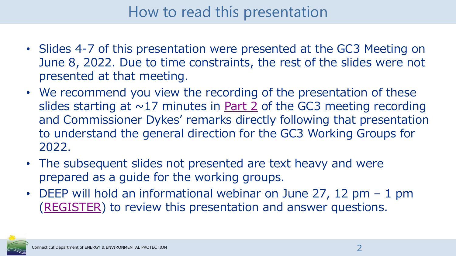#### How to read this presentation

- Slides 4-7 of this presentation were presented at the GC3 Meeting on June 8, 2022. Due to time constraints, the rest of the slides were not presented at that meeting.
- We recommend you view the recording of the presentation of these slides starting at  $\sim$ 17 minutes in [Part 2](https://ctdeep.zoom.us/rec/share/lNGoZXgSpMdhdub2udf1Xc4VNBOmo05-51Axd3NLh-1-M449bIOX8jdFdt2vevUK.PUpQ147dwoQ3Tmgf?startTime=1654702314000) of the GC3 meeting recording and Commissioner Dykes' remarks directly following that presentation to understand the general direction for the GC3 Working Groups for 2022.
- The subsequent slides not presented are text heavy and were prepared as a guide for the working groups.
- DEEP will hold an informational webinar on June 27, 12 pm 1 pm ([REGISTER](https://ctdeep.zoom.us/meeting/register/tZUrcuygqDItGdeEeb7v5zlGfUAePrB21UkM)) to review this presentation and answer questions.

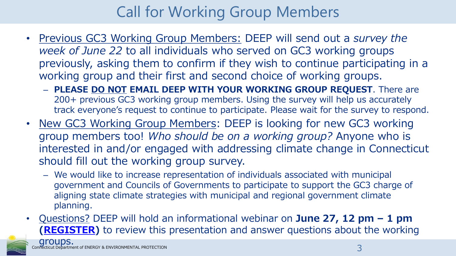## Call for Working Group Members

- Previous GC3 Working Group Members: DEEP will send out a *survey the week of June 22* to all individuals who served on GC3 working groups previously, asking them to confirm if they wish to continue participating in a working group and their first and second choice of working groups.
	- **PLEASE DO NOT EMAIL DEEP WITH YOUR WORKING GROUP REQUEST**. There are 200+ previous GC3 working group members. Using the survey will help us accurately track everyone's request to continue to participate. Please wait for the survey to respond.
- New GC3 Working Group Members: DEEP is looking for new GC3 working group members too! *Who should be on a working group?* Anyone who is interested in and/or engaged with addressing climate change in Connecticut should fill out the working group survey.
	- We would like to increase representation of individuals associated with municipal government and Councils of Governments to participate to support the GC3 charge of aligning state climate strategies with municipal and regional government climate planning.
- Questions? DEEP will hold an informational webinar on **June 27, 12 pm – 1 pm [\(REGISTER\)](https://ctdeep.zoom.us/meeting/register/tZUrcuygqDItGdeEeb7v5zlGfUAePrB21UkM)** to review this presentation and answer questions about the working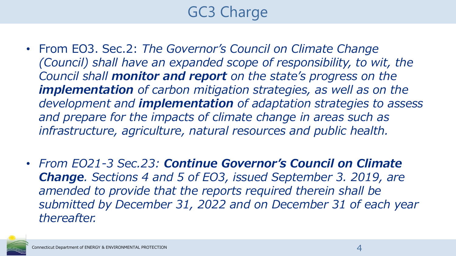## GC3 Charge

- From EO3. Sec.2: *The Governor's Council on Climate Change (Council)* shall have an expanded scope of responsibility, to wit, the *Council shall monitor and report on the state's progress on the implementation of carbon mitigation strategies, as well as on the development and implementation of adaptation strategies to assess and prepare for the impacts of climate change in areas such as infrastructure, agriculture, natural resources and public health.*
- *From EO21-3 Sec.23: Continue Governor's Council on Climate Change. Sections 4 and 5 of EO3, issued September 3. 2019, are amended to provide that the reports required therein shall be submitted by December 31, 2022 and on December 31 of each year thereafter.*

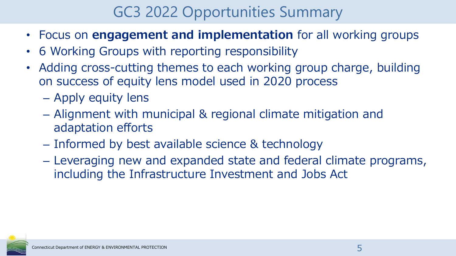#### GC3 2022 Opportunities Summary

- Focus on **engagement and implementation** for all working groups
- 6 Working Groups with reporting responsibility
- Adding cross-cutting themes to each working group charge, building on success of equity lens model used in 2020 process
	- Apply equity lens
	- Alignment with municipal & regional climate mitigation and adaptation efforts
	- Informed by best available science & technology
	- Leveraging new and expanded state and federal climate programs, including the Infrastructure Investment and Jobs Act

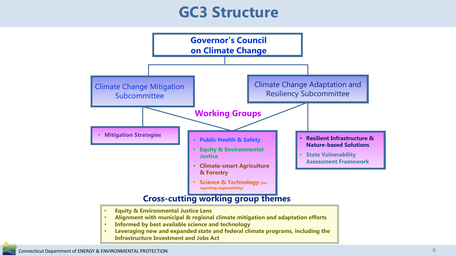#### **GC3 Structure**



#### **Cross-cutting working group themes**

- **Equity & Environmental Justice Lens**
- **Alignment with municipal & regional climate mitigation and adaptation efforts**
- **Informed by best available science and technology**
- **Leveraging new and expanded state and federal climate programs, including the Infrastructure Investment and Jobs Act**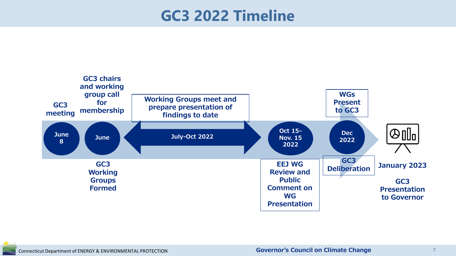#### **GC3 2022 Timeline**

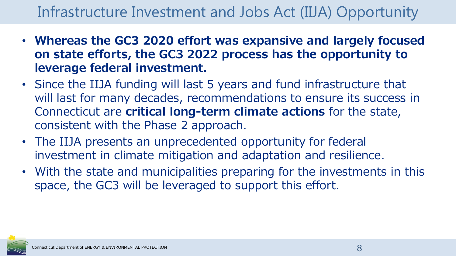#### Infrastructure Investment and Jobs Act (IIJA) Opportunity

- **Whereas the GC3 2020 effort was expansive and largely focused on state efforts, the GC3 2022 process has the opportunity to leverage federal investment.**
- Since the IIJA funding will last 5 years and fund infrastructure that will last for many decades, recommendations to ensure its success in Connecticut are **critical long-term climate actions** for the state, consistent with the Phase 2 approach.
- The IIJA presents an unprecedented opportunity for federal investment in climate mitigation and adaptation and resilience.
- With the state and municipalities preparing for the investments in this space, the GC3 will be leveraged to support this effort.

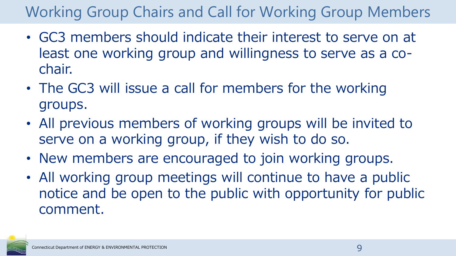## Working Group Chairs and Call for Working Group Members

- GC3 members should indicate their interest to serve on at least one working group and willingness to serve as a cochair.
- The GC3 will issue a call for members for the working groups.
- All previous members of working groups will be invited to serve on a working group, if they wish to do so.
- New members are encouraged to join working groups.
- All working group meetings will continue to have a public notice and be open to the public with opportunity for public comment.

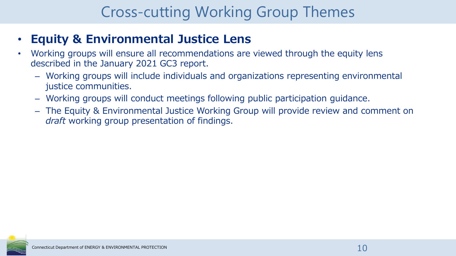#### Cross-cutting Working Group Themes

#### • **Equity & Environmental Justice Lens**

- Working groups will ensure all recommendations are viewed through the equity lens described in the January 2021 GC3 report.
	- Working groups will include individuals and organizations representing environmental justice communities.
	- Working groups will conduct meetings following public participation guidance.
	- The Equity & Environmental Justice Working Group will provide review and comment on *draft* working group presentation of findings.

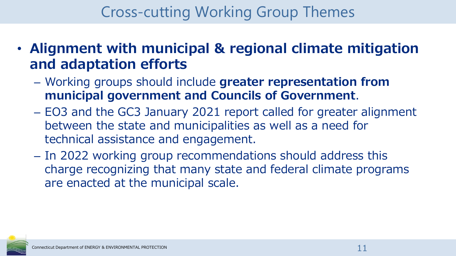#### Cross-cutting Working Group Themes

- **Alignment with municipal & regional climate mitigation and adaptation efforts**
	- Working groups should include **greater representation from municipal government and Councils of Government**.
	- EO3 and the GC3 January 2021 report called for greater alignment between the state and municipalities as well as a need for technical assistance and engagement.
	- In 2022 working group recommendations should address this charge recognizing that many state and federal climate programs are enacted at the municipal scale.

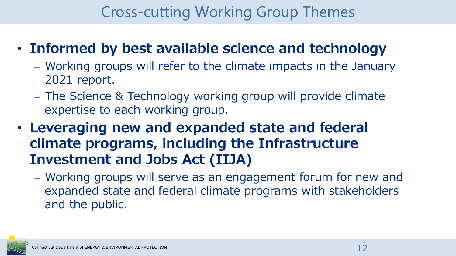#### Cross-cutting Working Group Themes

#### • **Informed by best available science and technology**

- Working groups will refer to the climate impacts in the January 2021 report.
- The Science & Technology working group will provide climate expertise to each working group.
- **Leveraging new and expanded state and federal climate programs, including the Infrastructure Investment and Jobs Act (IIJA)**
	- Working groups will serve as an engagement forum for new and expanded state and federal climate programs with stakeholders and the public.

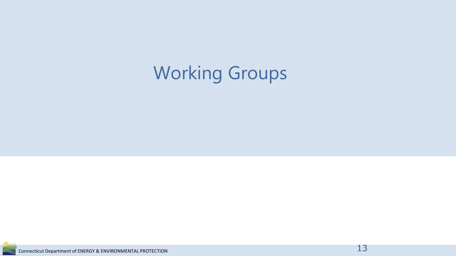# Working Groups

Connecticut Department of ENERGY & ENVIRONMENTAL PROTECTION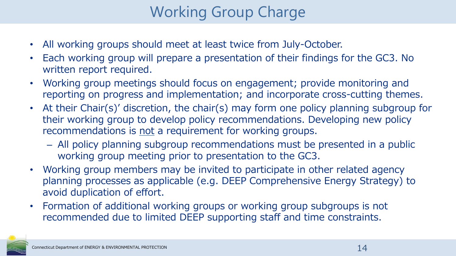## Working Group Charge

- All working groups should meet at least twice from July-October.
- Each working group will prepare a presentation of their findings for the GC3. No written report required.
- Working group meetings should focus on engagement; provide monitoring and reporting on progress and implementation; and incorporate cross-cutting themes.
- At their Chair(s)' discretion, the chair(s) may form one policy planning subgroup for their working group to develop policy recommendations. Developing new policy recommendations is not a requirement for working groups.
	- All policy planning subgroup recommendations must be presented in a public working group meeting prior to presentation to the GC3.
- Working group members may be invited to participate in other related agency planning processes as applicable (e.g. DEEP Comprehensive Energy Strategy) to avoid duplication of effort.
- Formation of additional working groups or working group subgroups is not recommended due to limited DEEP supporting staff and time constraints.

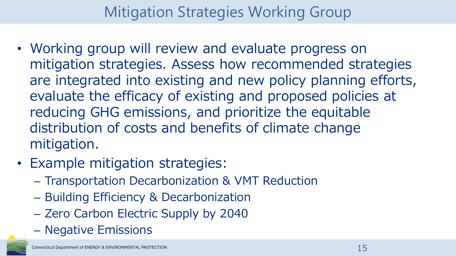#### Mitigation Strategies Working Group

- Working group will review and evaluate progress on mitigation strategies. Assess how recommended strategies are integrated into existing and new policy planning efforts, evaluate the efficacy of existing and proposed policies at reducing GHG emissions, and prioritize the equitable distribution of costs and benefits of climate change mitigation.
- Example mitigation strategies:
	- Transportation Decarbonization & VMT Reduction
	- Building Efficiency & Decarbonization
	- Zero Carbon Electric Supply by 2040
	- Negative Emissions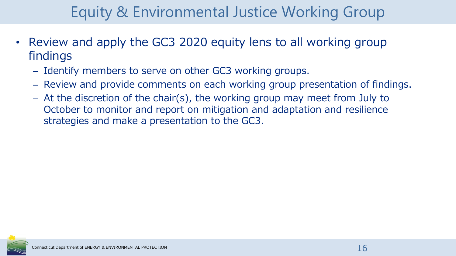## Equity & Environmental Justice Working Group

- Review and apply the GC3 2020 equity lens to all working group findings
	- Identify members to serve on other GC3 working groups.
	- Review and provide comments on each working group presentation of findings.
	- At the discretion of the chair(s), the working group may meet from July to October to monitor and report on mitigation and adaptation and resilience strategies and make a presentation to the GC3.

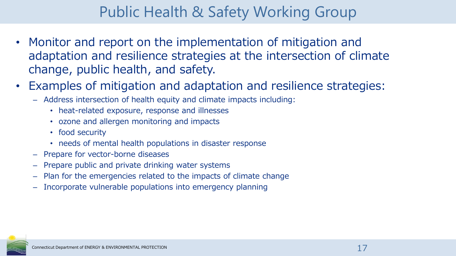#### Public Health & Safety Working Group

- Monitor and report on the implementation of mitigation and adaptation and resilience strategies at the intersection of climate change, public health, and safety.
- Examples of mitigation and adaptation and resilience strategies:
	- Address intersection of health equity and climate impacts including:
		- heat-related exposure, response and illnesses
		- ozone and allergen monitoring and impacts
		- food security
		- needs of mental health populations in disaster response
	- Prepare for vector-borne diseases
	- Prepare public and private drinking water systems
	- Plan for the emergencies related to the impacts of climate change
	- Incorporate vulnerable populations into emergency planning

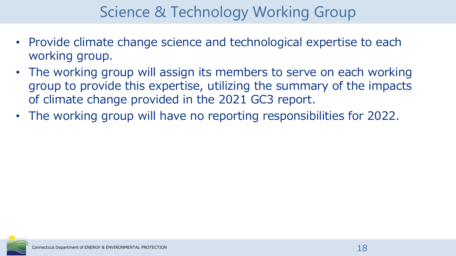#### Science & Technology Working Group

- Provide climate change science and technological expertise to each working group.
- The working group will assign its members to serve on each working group to provide this expertise, utilizing the summary of the impacts of climate change provided in the 2021 GC3 report.
- The working group will have no reporting responsibilities for 2022.

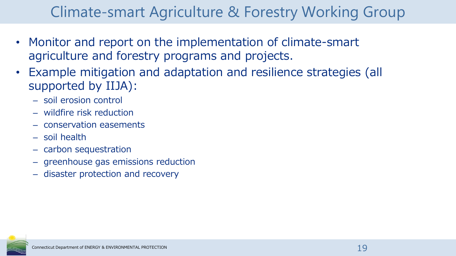#### Climate-smart Agriculture & Forestry Working Group

- Monitor and report on the implementation of climate-smart agriculture and forestry programs and projects.
- Example mitigation and adaptation and resilience strategies (all supported by IIJA):
	- soil erosion control
	- wildfire risk reduction
	- conservation easements
	- soil health
	- carbon sequestration
	- greenhouse gas emissions reduction
	- disaster protection and recovery

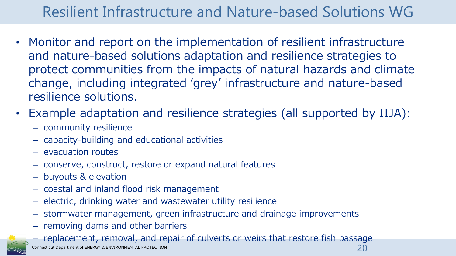#### Resilient Infrastructure and Nature-based Solutions WG

- Monitor and report on the implementation of resilient infrastructure and nature-based solutions adaptation and resilience strategies to protect communities from the impacts of natural hazards and climate change, including integrated 'grey' infrastructure and nature-based resilience solutions.
- Example adaptation and resilience strategies (all supported by IIJA):
	- community resilience
	- capacity-building and educational activities
	- evacuation routes
	- conserve, construct, restore or expand natural features
	- buyouts & elevation
	- coastal and inland flood risk management
	- electric, drinking water and wastewater utility resilience
	- stormwater management, green infrastructure and drainage improvements
	- removing dams and other barriers
	- Connecticut Department of ENERGY & ENVIRONMENTAL PROTECTION – replacement, removal, and repair of culverts or weirs that restore fish passage 20